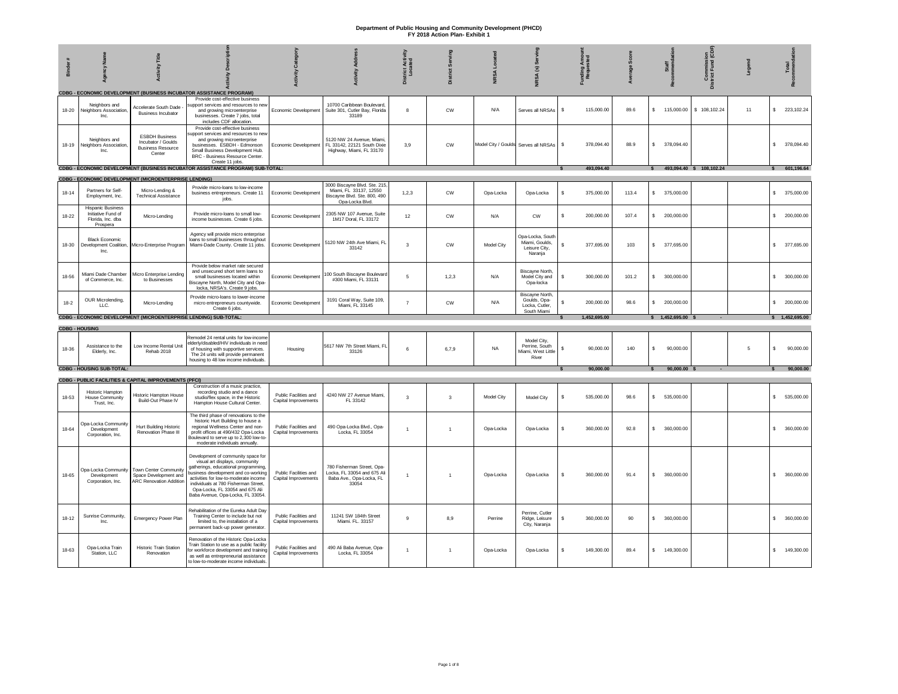| Binder    | χã                                                                              | <b>Activity Title</b>                                                             |                                                                                                                                                                                                                                                                                                              | Categor<br>vity                               | <b>Activity Addres</b>                                                                                     | Acti<br>ated<br>District J<br>Loca | Serving<br>$\overline{\mathtt{c}}$ | NRSA Located | NRSA (s) Serving                                                | unding Amou<br>Requested         | age Scor | Staff<br>nmenda            | Commission<br>District Fund (CDI | Legend | Total            |
|-----------|---------------------------------------------------------------------------------|-----------------------------------------------------------------------------------|--------------------------------------------------------------------------------------------------------------------------------------------------------------------------------------------------------------------------------------------------------------------------------------------------------------|-----------------------------------------------|------------------------------------------------------------------------------------------------------------|------------------------------------|------------------------------------|--------------|-----------------------------------------------------------------|----------------------------------|----------|----------------------------|----------------------------------|--------|------------------|
| 18-20     | Neighbors and<br>Neighbors Association<br>Inc.                                  | Accelerate South Dade<br><b>Business Incubator</b>                                | CDBG - ECONOMIC DEVELOPMENT (BUSINESS INCUBATOR ASSISTANCE PROGRAM)<br>Provide cost-effective business<br>upport services and resources to nev<br>and growing microenterprise<br>businesses. Create 7 jobs, total<br>includes CDF allocation.                                                                | Economic Development                          | 10700 Caribbean Boulevard<br>Suite 301, Cutler Bay, Florida<br>33189                                       | 8                                  | CW                                 | N/A          | Serves all NRSAs                                                | \$<br>115,000.00                 | 89.6     | \$ 115,000.00              | \$108,102.24                     | 11     | \$ 223,102.24    |
| 18-19     | Neighbors and<br>Neighbors Association<br>Inc.                                  | <b>ESBDH Business</b><br>Incubator / Goulds<br><b>Business Resource</b><br>Center | Provide cost-effective business<br>upport services and resources to new<br>and growing microenterprise<br>businesses. ESBDH - Edmonson<br>Small Business Development Hub.<br>BRC - Business Resource Center.<br>Create 11 jobs.                                                                              | Economic Development                          | 5120 NW 24 Avenue, Miami<br>FL 33142, 22121 South Dixie<br>Highway, Miami, FL 33170                        | 3,9                                | <b>CW</b>                          |              | Model City / Goulds Serves all NRSAs                            | 378,094.40<br>\$                 | 88.9     | \$ 378,094.40              |                                  |        | \$ 378,094.40    |
|           |                                                                                 |                                                                                   | CDBG - ECONOMIC DEVELOPMENT (BUSINESS INCUBATOR ASSISTANCE PROGRAM) SUB-TOTAL:                                                                                                                                                                                                                               |                                               |                                                                                                            |                                    |                                    |              |                                                                 | 493.094.40                       |          | 493,094.40 \$ 108,102.24   |                                  |        | \$601,196.64     |
|           |                                                                                 | <b>CDBG - ECONOMIC DEVELOPMENT (MICROENTERPRISE LENDING)</b>                      |                                                                                                                                                                                                                                                                                                              |                                               |                                                                                                            |                                    |                                    |              |                                                                 |                                  |          |                            |                                  |        |                  |
| $18 - 14$ | Partners for Self<br>Employment, Inc.                                           | Micro-Lending &<br><b>Technical Assistance</b>                                    | Provide micro-loans to low-income<br>business entrepreneurs. Create 11<br>jobs.                                                                                                                                                                                                                              | Economic Development                          | 3000 Biscayne Blvd. Ste. 215,<br>Miami, FL 33137, 12550<br>Biscayne Blvd. Ste. 800, 490<br>Opa-Locka Blvd. | 1,2,3                              | <b>CW</b>                          | Opa-Locka    | Opa-Locka                                                       | 375,000.00<br>s.                 | 113.4    | \$ 375,000.00              |                                  |        | \$ 375,000.00    |
| 18-22     | <b>Hispanic Business</b><br>Initiative Fund of<br>Florida, Inc. dba<br>Prospera | Micro-Lending                                                                     | Provide micro-loans to small low-<br>income businesses. Create 6 jobs.                                                                                                                                                                                                                                       | Economic Development                          | 2305 NW 107 Avenue, Suite<br>1M17 Doral, FL 33172                                                          | 12                                 | <b>CW</b>                          | N/A          | <b>CW</b>                                                       | \$<br>200,000.00                 | 107.4    | \$ 200,000.00              |                                  |        | \$ 200,000.00    |
| 18-30     | <b>Black Economic</b><br>Development Coalition,<br>Inc.                         | Micro-Enterprise Program                                                          | Agency will provide micro enterprise<br>loans to small businesses throughout<br>Miami-Dade County. Create 11 jobs.                                                                                                                                                                                           | Economic Development                          | 5120 NW 24th Ave Miami, FL<br>33142                                                                        | $\mathbf{3}$                       | CW                                 | Model City   | Opa-Locka, South<br>Miami, Goulds,<br>Leisure City,<br>Naranja  | \$.<br>377,695.00                | 103      | \$ 377,695.00              |                                  |        | \$ 377,695.00    |
| 18-56     | Miami Dade Chamber<br>of Commerce, Inc.                                         | Micro Enterprise Lendino<br>to Businesses                                         | Provide below market rate secured<br>and unsecured short term loans to<br>small businesses located within<br>Biscayne North, Model City and Opa-<br>locka, NRSA's. Create 9 jobs.                                                                                                                            | Economic Development                          | 100 South Biscayne Boulevard<br>#300 Miami. FL 33131                                                       | 5                                  | 1,2,3                              | N/A          | Biscayne North,<br>Model City and<br>Opa-locka                  | s.<br>300,000.00                 | 101.2    | \$300,000.00               |                                  |        | \$300,000.00     |
| $18 - 2$  | OUR Microlending,<br>LLC.                                                       | Micro-Lending                                                                     | Provide micro-loans to lower-income<br>micro entrepreneurs countywide.<br>Create 6 jobs.                                                                                                                                                                                                                     | Economic Development                          | 3191 Coral Way, Suite 109,<br>Miami, FL 33145                                                              | $\overline{7}$                     | CW                                 | N/A          | Biscayne North<br>Goulds, Ona-<br>Locka, Cutler,<br>South Miami | $\mathbf{\hat{s}}$<br>200,000.00 | 98.6     | \$ 200,000.00              |                                  |        | \$ 200,000.00    |
|           |                                                                                 |                                                                                   | CDBG - ECONOMIC DEVELOPMENT (MICROENTERPRISE LENDING) SUB-TOTAL:                                                                                                                                                                                                                                             |                                               |                                                                                                            |                                    |                                    |              |                                                                 | 1,452,695.00                     |          | $$1,452,695.00$ \$         |                                  |        | \$1,452,695.00   |
|           | <b>CDBG - HOUSING</b>                                                           |                                                                                   |                                                                                                                                                                                                                                                                                                              |                                               |                                                                                                            |                                    |                                    |              |                                                                 |                                  |          |                            |                                  |        |                  |
| 18-36     | Assistance to the<br>Elderly, Inc.                                              | Low Income Rental Unit<br>Rehab 2018                                              | Remodel 24 rental units for low-income<br>elderly/disabled/HIV individuals in need<br>of housing with supportive services.<br>The 24 units will provide permanent<br>housing to 48 low income individuals.                                                                                                   | Housing                                       | 5617 NW 7th Street Miami, FL<br>33126                                                                      | 6                                  | 6,7,9                              | <b>NA</b>    | Model City,<br>Perrine, South<br>Miami, West Little<br>River    | s<br>90,000.00                   | 140      | s<br>90,000.00             |                                  | 5      | \$<br>90,000.00  |
|           | <b>CDBG - HOUSING SUB-TOTAL:</b>                                                |                                                                                   |                                                                                                                                                                                                                                                                                                              |                                               |                                                                                                            |                                    |                                    |              |                                                                 | 90,000.00                        |          | 90,000.00 \$               |                                  |        | 90,000.00        |
|           |                                                                                 | <b>CDBG - PUBLIC FACILITIES &amp; CAPITAL IMPROVEMENTS (PFCI)</b>                 |                                                                                                                                                                                                                                                                                                              |                                               |                                                                                                            |                                    |                                    |              |                                                                 |                                  |          |                            |                                  |        |                  |
| 18-53     | <b>Historic Hampton</b><br><b>House Community</b><br>Trust, Inc.                | Historic Hampton House<br>Build-Out Phase IV                                      | Construction of a music practice,<br>recording studio and a dance<br>studio/flex space, in the Historic<br>Hampton House Cultural Center.                                                                                                                                                                    | Public Facilities and<br>Capital Improvements | 4240 NW 27 Avenue Miami,<br>FL 33142                                                                       | $\overline{\mathbf{3}}$            | $\overline{\mathbf{3}}$            | Model City   | Model City                                                      | 535,000.00<br>\$                 | 98.6     | 535,000.00<br>$\mathsf{S}$ |                                  |        | \$535,000.00     |
| 18-64     | Opa-Locka Community<br>Development<br>Corporation, Inc.                         | <b>Hurt Building Historic</b><br>Renovation Phase III                             | The third phase of renovations to the<br>historic Hurt Building to house a<br>regional Wellness Center and non-<br>profit offices at 490/432 Opa-Locka<br>Boulevard to serve up to 2,300 low-to-<br>moderate individuals annually.                                                                           | Public Facilities and<br>Capital Improvements | 490 Opa-Locka Blvd., Opa-<br>Locka, FL 33054                                                               | $\overline{1}$                     |                                    | Ona-Locka    | Opa-Locka                                                       | 360,000.00<br>$\mathbf{\hat{s}}$ | 92.8     | \$ 360,000,00              |                                  |        | \$ 360,000.00    |
| $18 - 65$ | Opa-Locka Community<br>Development<br>Corporation, Inc.                         | Town Center Community<br>Space Development and<br><b>ARC Renovation Addition</b>  | Development of community space for<br>visual art displays, community<br>gatherings, educational programming,<br>business development and co-working<br>activities for low-to-moderate income<br>individuals at 780 Fisherman Street.<br>Opa-Locka, FL 33054 and 675 Ali<br>Baba Avenue, Opa-Locka, FL 33054. | Public Facilities and<br>Capital Improvements | 780 Fisherman Street, Ona-<br>Locka, FL 33054 and 675 Al<br>Baba Ave., Opa-Locka, FL<br>33054              | $\mathbf{1}$                       |                                    | Opa-Locka    | Opa-Locka                                                       | \$<br>360,000.00                 | 91.4     | s.<br>360,000.00           |                                  |        | 360,000.00<br>s. |
| $18 - 12$ | Sunrise Community,<br>Inc.                                                      | Emergency Power Plan                                                              | Rehabilitation of the Eureka Adult Day<br>Training Center to include but not<br>limited to, the installation of a<br>permanent back-up power generator.                                                                                                                                                      | Public Facilities and<br>Capital Improvements | 11241 SW 184th Street<br>Miami. FL. 33157                                                                  | 9                                  | 8,9                                | Perrine      | Perrine, Cutler<br>Ridge, Leisure<br>City, Naranja              | \$<br>360,000.00                 | 90       | \$360,000.00               |                                  |        | \$ 360,000.00    |
| 18-63     | Opa-Locka Train<br>Station, LLC                                                 | <b>Historic Train Station</b><br>Renovation                                       | Renovation of the Historic Opa-Locka<br>Train Station to use as a public facility<br>for workforce development and training<br>as well as entrepreneurial assistance<br>to low-to-moderate income individuals.                                                                                               | Public Facilities and<br>Capital Improvements | 490 Ali Baba Avenue, Opa-<br>Locka, FL 33054                                                               | $\overline{1}$                     | $\mathbf{1}$                       | Opa-Locka    | Opa-Locka                                                       | 149,300.00<br>s.                 | 89.4     | $\mathbb{S}$<br>149,300.00 |                                  |        | \$ 149,300.00    |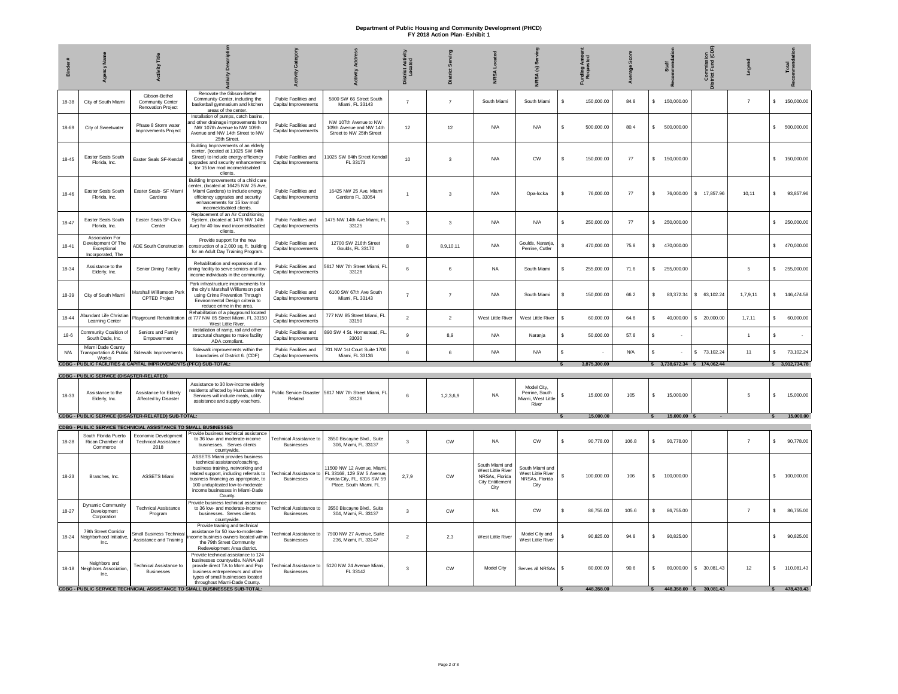|           |                                                                           | Title<br>Activity                                                     |                                                                                                                                                                                                                                                                             |                                                     |                                                                                                                 | Acti<br>ted<br>strict<br>Loca<br>ă | 흐                       | 띂                                                                                         | $\overline{\mathbf{s}}$<br><b>SA</b>                           |                              |       | Staff                         | nmissi<br>Fund<br>ន្ទិ ខ្ញុំ |                |    | Total          |
|-----------|---------------------------------------------------------------------------|-----------------------------------------------------------------------|-----------------------------------------------------------------------------------------------------------------------------------------------------------------------------------------------------------------------------------------------------------------------------|-----------------------------------------------------|-----------------------------------------------------------------------------------------------------------------|------------------------------------|-------------------------|-------------------------------------------------------------------------------------------|----------------------------------------------------------------|------------------------------|-------|-------------------------------|------------------------------|----------------|----|----------------|
| 18-38     | City of South Miami                                                       | Gibson-Bethel<br><b>Community Center</b><br><b>Renovation Project</b> | Renovate the Gibson-Bethel<br>Community Center, including the<br>basketball gymnasium and kitchen<br>areas of the center.                                                                                                                                                   | Public Facilities and<br>Capital Improvements       | 5800 SW 66 Street South<br>Miami, FL 33143                                                                      | $\overline{7}$                     | $\overline{7}$          | South Miami                                                                               | South Miami                                                    | 150,000.00<br>$\mathbf{s}$   | 84.8  | \$ 150,000.00                 |                              | $\overline{7}$ |    | \$ 150,000.00  |
| 18-69     | City of Sweetwater                                                        | Phase 8 Storm water<br>Improvements Project                           | Installation of pumps, catch basins,<br>and other drainage improvements from<br>NW 107th Avenue to NW 109th<br>Avenue and NW 14th Street to NW<br>25th Street.                                                                                                              | Public Facilities and<br>Capital Improvements       | NW 107th Avenue to NW<br>109th Avenue and NW 14th<br>Street to NW 25th Street                                   | 12                                 | 12                      | N/A                                                                                       | N/A                                                            | $\mathbf{s}$<br>500,000.00   | 80.4  | $\mathbf{s}$<br>500,000.00    |                              |                |    | \$500,000.00   |
| $18 - 45$ | Easter Seals South<br>Florida, Inc.                                       | Easter Seals SF-Kendall                                               | Building Improvements of an elderly<br>center, (located at 11025 SW 84th<br>Street) to include energy efficiency<br>upgrades and security enhancements<br>for 15 low mod income/disabled<br>clients.                                                                        | Public Facilities and<br>Capital Improvements       | 1025 SW 84th Street Kendal<br>FL 33173                                                                          | 10                                 | $\overline{\mathbf{3}}$ | N/A                                                                                       | <b>CW</b>                                                      | s.<br>150,000.00             | 77    | s.<br>150,000.00              |                              |                | s. | 150,000.00     |
| 18-46     | <b>Easter Seals South</b><br>Florida, Inc.                                | Easter Seals- SF Miam<br>Gardens                                      | Building Improvements of a child care<br>center, (located at 16425 NW 25 Ave,<br>Miami Gardens) to include energy<br>efficiency upgrades and security<br>enhancements for 15 low mod<br>income/disabled clients.                                                            | Public Facilities and<br>Capital Improvements       | 16425 NW 25 Ave. Miami<br>Gardens FL 33054                                                                      | $\overline{1}$                     | $\mathbf{3}$            | N/A                                                                                       | Opa-locka                                                      | s<br>76,000.00               | 77    | s<br>76,000.00                | \$ 17,857.96                 | 10,11          | s. | 93,857.96      |
| $18 - 47$ | Easter Seals South<br>Florida, Inc.                                       | Easter Seals SF-Civic<br>Center                                       | Replacement of an Air Conditioning<br>System, (located at 1475 NW 14th)<br>Ave) for 40 low mod income/disabled<br>clients                                                                                                                                                   | Public Facilities and<br>Capital Improvements       | 475 NW 14th Ave Miami, FL<br>33125                                                                              | 3                                  | 3                       | N/A                                                                                       | N/A                                                            | s.<br>250,000.00             | 77    | $\mathbb{S}$<br>250,000.00    |                              |                |    | \$ 250,000.00  |
| $18 - 41$ | Association For<br>Development Of The<br>Exceptional<br>Incorporated. The | ADE South Construction                                                | Provide support for the new<br>construction of a 2,000 sq. ft. building<br>for an Adult Day Training Program.                                                                                                                                                               | Public Facilities and<br>Capital Improvements       | 12700 SW 216th Street<br>Goulds, FL 33170                                                                       | 8                                  | 8.9.10.11               | N/A                                                                                       | Goulds, Naranja,<br>Perrine, Cutler                            | $$\mathbb{S}$$<br>470,000.00 | 75.8  | \$ 470,000.00                 |                              |                |    | \$470,000.00   |
| 18-34     | Assistance to the<br>Elderly, Inc.                                        | Senior Dining Facility                                                | Rehabilitation and expansion of a<br>dining facility to serve seniors and low-<br>income individuals in the community.                                                                                                                                                      | Public Facilities and<br>Capital Improvements       | 5617 NW 7th Street Miami, FL<br>33126                                                                           | 6                                  | 6                       | NA                                                                                        | South Miami                                                    | s.<br>255,000.00             | 71.6  | \$255,000.00                  |                              | 5              |    | \$ 255,000.00  |
| 18-39     | City of South Miami                                                       | Marshall Williamson Park<br>CPTED Project                             | Park infrastructure improvements for<br>the city's Marshall Williamson park<br>using Crime Prevention Through<br>Environmental Design criteria to<br>reduce crime in the area.                                                                                              | Public Facilities and<br>Capital Improvements       | 6100 SW 67th Ave South<br>Miami, FL 33143                                                                       | $\overline{7}$                     | $\overline{7}$          | N/A                                                                                       | South Miami                                                    | $$\mathbb{S}$$<br>150,000.00 | 66.2  | s<br>83,372.34                | \$63,102.24                  | 1,7,9,11       | s. | 146,474.58     |
| $18 - 44$ | Abundant Life Christian<br><b>Learning Center</b>                         | Playground Rehabilitation                                             | Rehabilitation of a playground located<br>at 777 NW 85 Street Miami, FL 33150<br>West Little River.                                                                                                                                                                         | Public Facilities and<br>Capital Improvements       | 777 NW 85 Street Miami, FL<br>33150                                                                             | $\overline{2}$                     | $\overline{2}$          | West Little River                                                                         | West Little River                                              | \$<br>60,000.00              | 64.8  | s<br>40,000.00                | \$ 20,000.00                 | 1,7,11         | \$ | 60,000.00      |
| $18-6$    | Community Coalition of<br>South Dade, Inc.                                | Seniors and Family<br>Empowerment                                     | Installation of ramp, rail and other<br>structural changes to make facility<br>ADA compliant.                                                                                                                                                                               | Public Facilities and<br>Capital Improvements       | 390 SW 4 St. Homestead, FL<br>33030                                                                             | 9                                  | 8,9                     | N/A                                                                                       | Naranja                                                        | s<br>50,000.00               | 57.8  | s                             |                              | $\overline{1}$ | s  |                |
| N/A       | Miami Dade County<br><b>Transportation &amp; Public</b><br>Works          | Sidewalk Improvements                                                 | Sidewalk improvements within the<br>boundaries of District 6. (CDF)                                                                                                                                                                                                         | Public Facilities and<br>Capital Improvements       | 701 NW 1st Court Suite 1700<br>Miami, FL 33136                                                                  | 6                                  | 6                       | N/A                                                                                       | N/A                                                            | s                            | N/A   | s                             | \$ 73,102.24                 | 11             | s. | 73,102.24      |
|           |                                                                           | CDBG - PUBLIC FACILITIES & CAPITAL IMPROVEMENTS (PFCI) SUB-TOTAL:     |                                                                                                                                                                                                                                                                             |                                                     |                                                                                                                 |                                    |                         |                                                                                           |                                                                | 3.875.300.00                 |       | \$ 3,738,672,34 \$ 174,062,44 |                              |                |    | \$3.912.734.78 |
|           | <b>CDBG - PUBLIC SERVICE (DISASTER-RELATED)</b>                           |                                                                       | Assistance to 30 low-income elderly                                                                                                                                                                                                                                         |                                                     |                                                                                                                 |                                    |                         |                                                                                           |                                                                |                              |       |                               |                              |                |    |                |
| 18-33     | Assistance to the<br>Elderly, Inc.                                        | Assistance for Elderly<br>Affected by Disaster                        | residents affected by Hurricane Irma.<br>Services will include meals, utility<br>assistance and supply vouchers.                                                                                                                                                            | Public Service-Disaste<br>Related                   | 5617 NW 7th Street Miami, FL<br>33126                                                                           | 6                                  | 1,2,3,6,9               | <b>NA</b>                                                                                 | Model City.<br>Perrine, South<br>Miami, West Little<br>River   | 15.000.00<br>s               | 105   | 15.000.00<br>s.               |                              | 5              | s. | 15,000.00      |
|           |                                                                           | <b>CDBG - PUBLIC SERVICE (DISASTER-RELATED) SUB-TOTAL:</b>            |                                                                                                                                                                                                                                                                             |                                                     |                                                                                                                 |                                    |                         |                                                                                           |                                                                | 15,000.00                    |       | 15,000.00 \$                  |                              |                |    | 15,000.00      |
|           |                                                                           | CDBG - PUBLIC SERVICE TECHNICIAL ASSISTANCE TO SMALL BUSINESSES       |                                                                                                                                                                                                                                                                             |                                                     |                                                                                                                 |                                    |                         |                                                                                           |                                                                |                              |       |                               |                              |                |    |                |
| 18-28     | South Florida Puerto<br>Rican Chamber of<br>Commerce                      | Economic Development<br><b>Technical Assistance</b><br>2018           | Provide business technical assistance<br>to 36 low- and moderate-income<br>businesses. Serves clients<br>countywide                                                                                                                                                         | <b>Technical Assistance to</b><br><b>Businesses</b> | 3550 Biscayne Blvd., Suite<br>306, Miami, FL 33137                                                              | 3                                  | <b>CW</b>               | <b>NA</b>                                                                                 | <b>CW</b>                                                      | $\mathbf{s}$<br>90,778.00    | 106.8 | 90,778.00<br>s.               |                              | $\overline{7}$ | s. | 90,778.00      |
| $18 - 23$ | Branches, Inc.                                                            | <b>ASSETS Miami</b>                                                   | ASSETS Miami provides business<br>technical assistance/coaching,<br>business training, networking and<br>related support, including referrals to<br>business financing as appropriate, to<br>100 unduplicated low-to-moderate<br>income businesses in Miami-Dade<br>County. | Technical Assistance to<br><b>Businesses</b>        | 1500 NW 12 Avenue, Miam<br>FL 33168, 129 SW 5 Avenue,<br>Florida City, FL, 6316 SW 59<br>Place, South Miami, FL | 2.7.9                              | CW                      | South Miami and<br>West Little River<br>NRSAs, Florida<br><b>City Entitlement</b><br>City | South Miami and<br>West Little River<br>NRSAs, Florida<br>City | 100,000.00<br>s              | 106   | 100,000.00<br>s.              |                              |                | s. | 100,000.00     |
| 18-27     | Dynamic Community<br>Development<br>Corporation                           | <b>Technical Assistance</b><br>Program                                | Provide business technical assistance<br>to 36 low- and moderate-income<br>businesses. Serves clients<br>countywide.                                                                                                                                                        | <b>Technical Assistance to</b><br><b>Businesses</b> | 3550 Biscayne Blvd., Suite<br>304, Miami, FL 33137                                                              | 3                                  | <b>CW</b>               | <b>NA</b>                                                                                 | CW                                                             | 86,755.00<br>s.              | 105.6 | s.<br>86,755,00               |                              | $\overline{7}$ | s. | 86,755.00      |
| 18-24     | 79th Street Corridor<br>Neighborhood Initiative<br>Inc.                   | Small Business Technical<br>Assistance and Training                   | Provide training and technical<br>assistance for 50 low-to-moderate-<br>come business owners located within<br>the 79th Street Community<br>Redevelopment Area district                                                                                                     | Technical Assistance to<br><b>Businesses</b>        | 7900 NW 27 Avenue, Suite<br>236, Miami, FL 33147                                                                | $\overline{2}$                     | 2,3                     | West Little River                                                                         | Model City and<br>West Little River                            | s<br>90,825.00               | 94.8  | s<br>90,825.00                |                              |                | s. | 90,825.00      |
| $18 - 18$ | Neighbors and<br>Neighbors Association<br>Inc.                            | <b>Technical Assistance to</b><br><b>Businesses</b>                   | Provide technical assistance to 124<br>businesses countywide. NANA will<br>provide direct TA to Mom and Pop<br>business entrepreneurs and other<br>types of small businesses located<br>throughout Miami-Dade County.                                                       | Technical Assistance to<br><b>Businesses</b>        | 5120 NW 24 Avenue Miami,<br>FL 33142                                                                            | $\overline{3}$                     | $\mathsf{C}\mathsf{W}$  | Model City                                                                                | Serves all NRSAs                                               | s<br>80,000.00               | 90.6  | s<br>80,000.00                | \$30,081.43                  | 12             |    | \$ 110,081.43  |
|           |                                                                           |                                                                       | <b>CDBG - PUBLIC SERVICE TECHNICIAL ASSISTANCE TO SMALL BUSINESSES SUB-TOTAL:</b>                                                                                                                                                                                           |                                                     |                                                                                                                 |                                    |                         |                                                                                           |                                                                | 448.358.00                   |       | $\mathsf{s}$                  | 448,358.00 \$ 30,081.43      |                |    | 478,439.43     |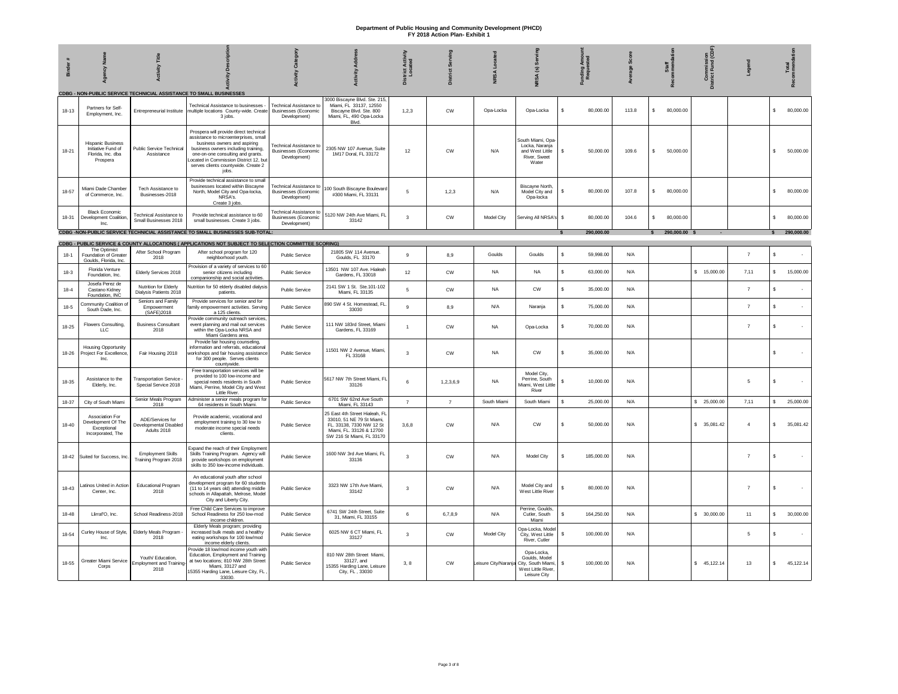| <b>Binder</b> | Agency                                                                          | <b>Activity Title</b>                                       |                                                                                                                                                                                                                                                                                      | Catego<br>ΛĮ                                                                  | <b>Addr</b><br>Activity                                                                                                                          | <b>District Activity</b><br>Located | Serving<br><b>District</b> |                     | NRSA (s) Serving                                                                       | unding Amou<br>Requested  |       | Staff<br>nmend                | Commission<br>istrict Fund (CDF) | Legend         |    | Total      |
|---------------|---------------------------------------------------------------------------------|-------------------------------------------------------------|--------------------------------------------------------------------------------------------------------------------------------------------------------------------------------------------------------------------------------------------------------------------------------------|-------------------------------------------------------------------------------|--------------------------------------------------------------------------------------------------------------------------------------------------|-------------------------------------|----------------------------|---------------------|----------------------------------------------------------------------------------------|---------------------------|-------|-------------------------------|----------------------------------|----------------|----|------------|
|               |                                                                                 |                                                             | CDBG - NON-PUBLIC SERVICE TECHNICIAL ASSISTANCE TO SMALL BUSINESSES                                                                                                                                                                                                                  |                                                                               |                                                                                                                                                  |                                     |                            |                     |                                                                                        |                           |       |                               |                                  |                |    |            |
| $18 - 13$     | Partners for Self-<br>Employment, Inc.                                          | Entrepreneurial Institute                                   | Technical Assistance to businesses -<br>multiple locations County-wide. Create<br>3 jobs.                                                                                                                                                                                            | <b>Technical Assistance to</b><br><b>Businesses (Economic</b><br>Development) | 3000 Biscayne Blvd. Ste. 215,<br>Miami, FL 33137, 12550<br>Biscayne Blvd. Ste. 800<br>Miami, FL, 490 Opa-Locka<br>Blvd.                          | 1,2,3                               | <b>CW</b>                  | Opa-Locka           | Opa-Locka                                                                              | s<br>80,000.00            | 113.8 | s<br>80,000.00                |                                  |                | s. | 80,000.00  |
| 18-21         | <b>Hispanic Business</b><br>Initiative Fund of<br>Florida, Inc. dba<br>Prospera | Public Service Technical<br>Assistance                      | Prospera will provide direct technical<br>assistance to microenterprises, small<br>business owners and aspiring<br>business owners including training,<br>one-on-one consulting and grants.<br>ocated in Commission District 12, but<br>serves clients countywide. Create 2<br>jobs. | <b>Technical Assistance to</b><br><b>Businesses (Economic</b><br>Development) | 2305 NW 107 Avenue, Suite<br>1M17 Doral, FL 33172                                                                                                | 12                                  | CW                         | N/A                 | South Miami, Opa-<br>Locka, Naranja<br>and West Little<br>River, Sweet<br>Water        | 50,000.00<br>s            | 109.6 | s<br>50,000,00                |                                  |                | s. | 50,000.00  |
| 18-57         | Miami Dade Chamber<br>of Commerce, Inc.                                         | Tech Assistance to<br>Businesses-2018                       | Provide technical assistance to small<br>businesses located within Biscayne<br>North, Model City and Opa-locka,<br>NRSA's<br>Create 3 jobs                                                                                                                                           | <b>Technical Assistance to</b><br><b>Businesses (Economic</b><br>Development) | 100 South Biscayne Boulevar<br>#300 Miami, FL 33131                                                                                              | 5                                   | 1,2,3                      | N/A                 | Biscavne North.<br>Model City and<br>Opa-locka                                         | 80,000.00<br>s            | 107.8 | 80,000.00<br>s                |                                  |                | s. | 80,000.00  |
| 18-31         | <b>Black Economic</b><br>Development Coalition,<br>Inc.                         | <b>Technical Assistance to</b><br>Small Businesses 2018     | Provide technical assistance to 60<br>small businesses. Create 3 jobs.                                                                                                                                                                                                               | echnical Assistance to<br><b>Businesses</b> (Economic<br>Development)         | 5120 NW 24th Ave Miami, FL<br>33142                                                                                                              | 3                                   | <b>CW</b>                  | Model City          | Serving All NRSA's \$                                                                  | 80,000.00                 | 104.6 | s<br>80,000.00                |                                  |                | s. | 80,000.00  |
|               |                                                                                 |                                                             | CDBG -NON-PUBLIC SERVICE TECHNICIAL ASSISTANCE TO SMALL BUSINESSES SUB-TOTAL:                                                                                                                                                                                                        |                                                                               |                                                                                                                                                  |                                     |                            |                     |                                                                                        | 290,000.00                |       | 290,000.00 \$<br>$\mathbf{s}$ |                                  |                |    | 290,000.00 |
|               |                                                                                 |                                                             | CDBG - PUBLIC SERVICE & COUNTY ALLOCATIONS (APPLICATIONS NOT SUBJECT TO SELECTION COMMITTEE SCORING)                                                                                                                                                                                 |                                                                               |                                                                                                                                                  |                                     |                            |                     |                                                                                        |                           |       |                               |                                  |                |    |            |
| $18 - 1$      | The Optimist<br>Foundation of Greater<br>Goulds, Florida, Inc.                  | After School Program<br>2018                                | After school program for 120<br>neighborhood youth.                                                                                                                                                                                                                                  | Public Service                                                                | 21805 SW 114 Avenue.<br>Goulds, FL 33170                                                                                                         | 9                                   | 8,9                        | Goulds              | Goulds                                                                                 | $\mathbf{s}$<br>59.998.00 | N/A   |                               |                                  | $\overline{7}$ | s  |            |
| $18-3$        | Florida Venture<br>Foundation, Inc.                                             | Elderly Services 2018                                       | Provision of a variety of services to 60<br>senior citizens including<br>companionship and social activities                                                                                                                                                                         | Public Service                                                                | 13501 NW 107 Ave. Hialeah<br>Gardens, FL 33018                                                                                                   | 12                                  | <b>CW</b>                  | <b>NA</b>           | <b>NA</b>                                                                              | s<br>63,000.00            | N/A   |                               | \$ 15,000.00                     | 7,11           | s. | 15,000.00  |
| $18 - 4$      | Josefa Perez de<br>Castano Kidney<br>Foundation, INC                            | Nutrition for Elderly<br>Dialysis Patients 2018             | Nutrition for 50 elderly disabled dialysis<br>patients.                                                                                                                                                                                                                              | Public Service                                                                | 2141 SW 1 St. Ste.101-102<br>Miami. FI 33135                                                                                                     | 5                                   | <b>CW</b>                  | NA                  | <b>CW</b>                                                                              | s<br>35,000.00            | N/A   |                               |                                  | $\overline{7}$ | s  |            |
| $18-5$        | Community Coalition of<br>South Dade, Inc.                                      | Seniors and Family<br>Empowerment<br>(SAFE)2018             | Provide services for senior and for<br>amily empowerment activities. Serving<br>a 125 clients<br>rovide community outreach services                                                                                                                                                  | Public Service                                                                | 890 SW 4 St. Homestead, FL<br>33030                                                                                                              | 9                                   | 8,9                        | N/A                 | Narania                                                                                | s.<br>75,000.00           | N/A   |                               |                                  | $\overline{7}$ | s  |            |
| 18-25         | Flowers Consulting,<br>LLC                                                      | <b>Business Consultant</b><br>2018                          | event planning and mail out services<br>within the Opa-Locka NRSA and<br>Miami Gardens area.                                                                                                                                                                                         | Public Service                                                                | 111 NW 183rd Street, Miami<br>Gardens, FL 33169                                                                                                  | $\mathbf{1}$                        | <b>CW</b>                  | NA                  | Opa-Locka                                                                              | s<br>70,000.00            | N/A   |                               |                                  | $\overline{7}$ | s  |            |
| 18-26         | <b>Housing Opportunity</b><br>Project For Excellence,<br>Inc.                   | Fair Housing 2018                                           | Provide fair housing counseling,<br>nformation and referrals, educationa<br>workshops and fair housing assistance<br>for 300 people. Serves clients<br>countywide.                                                                                                                   | Public Service                                                                | 11501 NW 2 Avenue, Miami,<br>FL 33168                                                                                                            | $\overline{\mathbf{3}}$             | CW                         | <b>NA</b>           | CW                                                                                     | s<br>35,000.00            | N/A   |                               |                                  |                | s  |            |
| 18-35         | Assistance to the<br>Elderly, Inc.                                              | Transportation Service<br>Special Service 2018              | Free transportation services will be<br>provided to 100 low-income and<br>special needs residents in South<br>Miami, Perrine, Model City and West<br>Little River.                                                                                                                   | Public Service                                                                | 5617 NW 7th Street Miami, FL<br>33126                                                                                                            | 6                                   | 1.2.3.6.9                  | <b>NA</b>           | Model City,<br>Perrine, South<br>Miami, West Little<br>River                           | s<br>10,000.00            | N/A   |                               |                                  | 5              | s  |            |
| 18-37         | City of South Miami                                                             | Senior Meals Program<br>2018                                | Administer a senior meals program for<br>64 residents in South Miami.                                                                                                                                                                                                                | Public Service                                                                | 6701 SW 62nd Ave South<br>Miami, FL 33143                                                                                                        | $\overline{7}$                      | $\overline{7}$             | South Miami         | South Miami                                                                            | 25,000.00<br>s            | N/A   |                               | \$25,000.00                      | 7,11           | s. | 25,000.00  |
| $18 - 40$     | Association For<br>Development Of The<br>Exceptional<br>Incorporated. The       | ADE/Services for<br>Developmental Disabled<br>Adults 2018   | Provide academic, vocational and<br>employment training to 30 low to<br>moderate income special needs<br>clients.                                                                                                                                                                    | <b>Public Service</b>                                                         | 25 East 4th Street Hialeah, FL<br>33010, 51 NE 79 St Miami,<br>FL. 33138, 7330 NW 12 St<br>Miami, FL, 33126 & 12700<br>SW 216 St Miami, FL 33170 | 3,6,8                               | <b>CW</b>                  | N/A                 | $\text{cw}$                                                                            | 50,000.00<br>s            | N/A   |                               | \$ 35,081.42                     | $\overline{4}$ | s. | 35,081.42  |
| 18-42         | Suited for Success, Inc.                                                        | <b>Employment Skills</b><br>Training Program 2018           | xpand the reach of their Employment<br>Skills Training Program. Agency will<br>provide workshops on employment<br>skills to 350 low-income individuals.                                                                                                                              | Public Service                                                                | 1600 NW 3rd Ave Miami, FL<br>33136                                                                                                               | $\overline{\mathbf{3}}$             | <b>CW</b>                  | N/A                 | Model City                                                                             | \$<br>185,000.00          | N/A   |                               |                                  | $\overline{7}$ | s  |            |
| 18-43         | atinos United in Action<br>Center, Inc.                                         | <b>Educational Program</b><br>2018                          | An educational youth after school<br>development program for 60 students<br>(11 to 14 years old) attending middle<br>schools in Allapattah, Melrose, Model<br>City and Liberty City.                                                                                                 | Public Service                                                                | 3323 NW 17th Ave Miami,<br>33142                                                                                                                 | 3                                   | CW                         | N/A                 | Model City and<br>West Little River                                                    | s<br>80,000.00            | N/A   |                               |                                  | $\overline{7}$ | s  |            |
| $18 - 48$     | Llirraf'O, Inc.                                                                 | School Readiness-2018                                       | Free Child Care Services to improve<br>School Readiness for 250 low-mod<br>income children                                                                                                                                                                                           | Public Service                                                                | 6741 SW 24th Street, Suite<br>31, Miami, FL 33155                                                                                                | 6                                   | 6.7.8.9                    | N/A                 | Perrine, Goulds,<br>Cutler, South<br>Miami                                             | s<br>164,250.00           | N/A   |                               | \$30,000.00                      | 11             | s. | 30,000.00  |
| 18-54         | Curley House of Style,<br>Inc.                                                  | Elderly Meals Program<br>2018                               | Elderly Meals program; providing<br>increased bulk meals and a healthy<br>eating workshops for 100 low/mod<br>income elderly clients.                                                                                                                                                | <b>Public Service</b>                                                         | 6025 NW 6 CT Miami, FL<br>33127                                                                                                                  | $\mathbf{3}$                        | CW                         | Model City          | Ona-Locka, Model<br>City, West Little<br>River, Cutler                                 | 100,000.00<br>\$          | N/A   |                               |                                  | 5              | s  |            |
| $18 - 55$     | Greater Miami Service<br>Corps                                                  | Youth/ Education.<br><b>Employment and Training</b><br>2018 | Provide 18 low/mod income youth with<br>Education, Employment and Training<br>at two locations; 810 NW 28th Street<br>Miami, 33127 and<br>15355 Harding Lane, Leisure City, FL<br>33030                                                                                              | Public Service                                                                | 810 NW 28th Street Miami,<br>33127, and<br>15355 Harding Lane, Leisure<br>City, FL, 33030                                                        | 3,8                                 | $\mathsf{cw}$              | eisure City/Naranja | Ona-Locka<br>Goulds, Model<br>City, South Miami,<br>West Little River,<br>Leisure City | 100,000.00<br>s           | N/A   |                               | \$45,122.14                      | 13             | s. | 45,122.14  |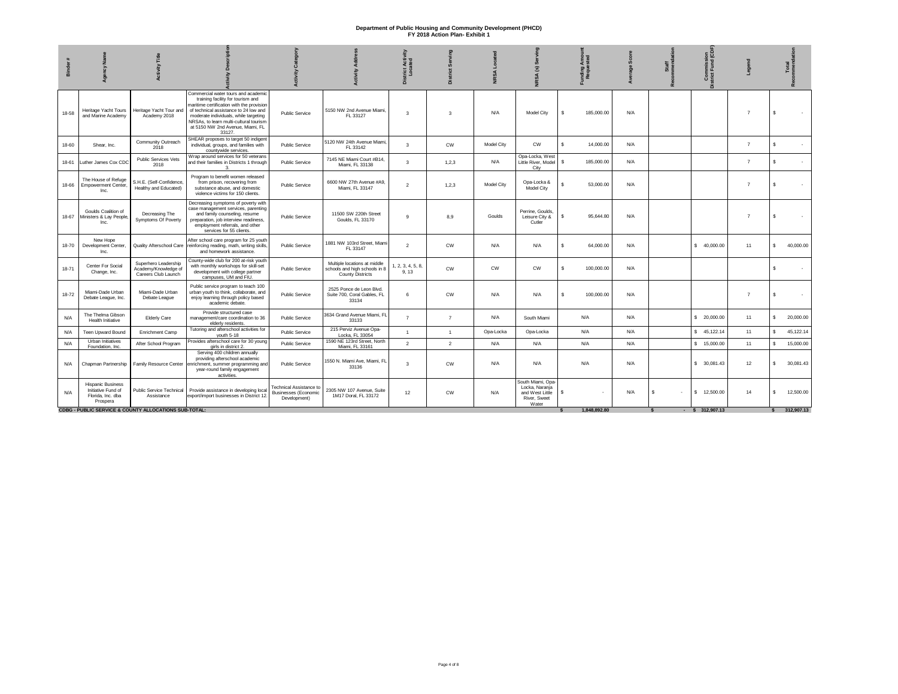|       |                                                                                 |                                                                     |                                                                                                                                                                                                                                                                                                 |                                                                               |                                                                                          | Acti<br>ated<br>District<br>Loca | ā              |            | 3                                                                               | Amon<br>sted<br>Funding<br>Reque | à   | Staff | <b>Commission</b><br>strict Fund (CL |                |    | Total<br>- |
|-------|---------------------------------------------------------------------------------|---------------------------------------------------------------------|-------------------------------------------------------------------------------------------------------------------------------------------------------------------------------------------------------------------------------------------------------------------------------------------------|-------------------------------------------------------------------------------|------------------------------------------------------------------------------------------|----------------------------------|----------------|------------|---------------------------------------------------------------------------------|----------------------------------|-----|-------|--------------------------------------|----------------|----|------------|
| 18-58 | Heritage Yacht Tours<br>and Marine Academy                                      | Heritage Yacht Tour and<br>Academy 2018                             | Commercial water tours and academic<br>training facility for tourism and<br>maritime certification with the provision<br>of technical assistance to 24 low and<br>moderate individuals, while targeting<br>NRSAs, to learn multi-cultural tourism<br>at 5150 NW 2nd Avenue, Miami, FL<br>33127. | Public Service                                                                | 5150 NW 2nd Avenue Miami.<br>FL 33127                                                    | $\mathbf{3}$                     | -3             | N/A        | Model City                                                                      | 185,000,00<br>s.                 | N/A |       |                                      | $\overline{z}$ | s  |            |
| 18-60 | Shear, Inc.                                                                     | Community Outreach<br>2018                                          | SHEAR proposes to target 50 indigent<br>individual, groups, and families with<br>countywide services.                                                                                                                                                                                           | Public Service                                                                | 5120 NW 24th Avenue Miami,<br>FL 33142                                                   | 3                                | CW             | Model City | <b>CW</b>                                                                       | s<br>14,000.00                   | N/A |       |                                      | $\overline{7}$ | s. |            |
| 18-61 | Luther James Cox CDC                                                            | <b>Public Services Vets</b><br>2018                                 | Wrap around services for 50 veterans<br>and their families in Districts 1 through                                                                                                                                                                                                               | Public Service                                                                | 7145 NE Miami Court #B14,<br>Miami, FL 33138                                             | 3                                | 1,2,3          | N/A        | Opa-Locka, West<br>Little River, Model<br>City                                  | \$<br>185,000.00                 | N/A |       |                                      | $\overline{7}$ | s  |            |
| 18-66 | The House of Refuge<br><b>Empowerment Center,</b><br>Inc.                       | S.H.E. (Self-Confidence,<br>Healthy and Educated)                   | Program to benefit women released<br>from prison, recovering from<br>substance abuse, and domestic<br>violence victims for 150 clients.                                                                                                                                                         | Public Service                                                                | 6600 NW 27th Avenue #A9,<br>Miami, FL 33147                                              | $\overline{2}$                   | 1, 2, 3        | Model City | Opa-Locka &<br>Model City                                                       | Š.<br>53,000.00                  | N/A |       |                                      | $\overline{7}$ | Š. |            |
|       | Goulds Coalition of<br>18-67 Ministers & Lay People<br>Inc.                     | Decreasing The<br>Symptoms Of Poverty                               | Decreasing symptoms of poverty with<br>case management services, parenting<br>and family counseling, resume<br>preparation, job interview readiness,<br>employment referrals, and other<br>services for 55 clients.                                                                             | Public Service                                                                | 11500 SW 220th Street<br>Goulds, FL 33170                                                | $\alpha$                         | 8.9            | Goulds     | Perrine, Goulds,<br>Leisure City &<br>Cutler                                    | s<br>95,644.80                   | N/A |       |                                      | $\overline{7}$ | s  |            |
| 18-70 | New Hope<br>Development Center,<br>Inc.                                         |                                                                     | After school care program for 25 youth<br>Quality Afterschool Care reinforcing reading, math, writing skills,<br>and homework assistance.                                                                                                                                                       | Public Service                                                                | 1881 NW 103rd Street, Miami<br>FL 33147                                                  | 2                                | <b>CW</b>      | N/A        | N/A                                                                             | 64,000.00<br>s                   | N/A |       | \$40,000.00                          | 11             | s. | 40,000.00  |
| 18-71 | Center For Social<br>Change, Inc.                                               | Superhero Leadership<br>Academy/Knowledge of<br>Careers Club Launch | County-wide club for 200 at-risk youth<br>with monthly workshops for skill-set<br>development with college partner<br>campuses, UM and FIU.                                                                                                                                                     | Public Service                                                                | Multiple locations at middle<br>schools and high schools in 8<br><b>County Districts</b> | 2, 3, 4, 5, 8,<br>9.13           | <b>CW</b>      | <b>CW</b>  | $\text{CW}$                                                                     | s.<br>100,000.00                 | N/A |       |                                      |                | s. |            |
| 18-72 | Miami-Dade Urban<br>Debate League, Inc.                                         | Miami-Dade Urban<br>Debate League                                   | Public service program to teach 100<br>urban youth to think, collaborate, and<br>enjoy learning through policy based<br>academic debate.                                                                                                                                                        | Public Service                                                                | 2525 Ponce de Leon Blvd.<br>Suite 700, Coral Gables, FL<br>33134                         | 6                                | <b>CW</b>      | N/A        | N/A                                                                             | s<br>100,000.00                  | N/A |       |                                      | $\overline{7}$ | s  |            |
| N/A   | The Thelma Gibson<br>Health Initiative                                          | Elderly Care                                                        | Provide structured case<br>management/care coordination to 36<br>elderly residents.                                                                                                                                                                                                             | Public Service                                                                | 3634 Grand Avenue Miami, FL<br>33133                                                     | $\overline{7}$                   | $\overline{7}$ | N/A        | South Miami                                                                     | N/A                              | N/A |       | \$20,000.00                          | 11             | \$ | 20,000.00  |
| N/A   | Teen Upward Bound                                                               | Enrichment Camp                                                     | Tutoring and afterschool activities for<br>youth 5-18                                                                                                                                                                                                                                           | Public Service                                                                | 215 Perviz Avenue Opa-<br>Locka, FL 33054                                                | $\overline{1}$                   | $\overline{1}$ | Opa-Locka  | Opa-Locka                                                                       | N/A                              | N/A |       | \$45,122.14                          | 11             | s. | 45,122.14  |
| N/A   | Urban Initiatives<br>Foundation, Inc.                                           | After School Program                                                | Provides afterschool care for 30 young<br>girls in district 2.                                                                                                                                                                                                                                  | Public Service                                                                | 1590 NE 123rd Street, North<br>Miami, FL 33161                                           | 2                                | $\overline{2}$ | N/A        | N/A                                                                             | N/A                              | N/A |       | \$ 15,000.00                         | 11             | s. | 15,000.00  |
| N/A   | Chapman Partnership                                                             | Family Resource Center                                              | Serving 400 children annually<br>providing afterschool academic<br>enrichment, summer programming and<br>year-round family engagement<br>activities.                                                                                                                                            | Public Service                                                                | 1550 N. Miami Ave, Miami, FL<br>33136                                                    | $\mathbf{3}$                     | <b>CW</b>      | N/A        | N/A                                                                             | N/A                              | N/A |       | \$ 30,081.43                         | 12             | s. | 30,081.43  |
| N/A   | <b>Hispanic Business</b><br>Initiative Fund of<br>Florida, Inc. dba<br>Prospera | Public Service Technical<br>Assistance                              | Provide assistance in developing local<br>export/import businesses in District 12.                                                                                                                                                                                                              | <b>Technical Assistance to</b><br><b>Businesses (Economic</b><br>Development) | 2305 NW 107 Avenue, Suite<br>1M17 Doral, FL 33172                                        | 12                               | CW             | N/A        | South Miami, Opa-<br>Locka, Naranja<br>and West Little<br>River, Sweet<br>Water | s                                | N/A | s.    | \$ 12,500.00                         | 14             | s. | 12,500.00  |
|       |                                                                                 | <b>CDBG - PUBLIC SERVICE &amp; COUNTY ALLOCATIONS SUB-TOTAL:</b>    |                                                                                                                                                                                                                                                                                                 |                                                                               |                                                                                          |                                  |                |            |                                                                                 | 1.848.892.80                     |     |       | $-$ \$ 312,907.13                    |                |    | 312,907.13 |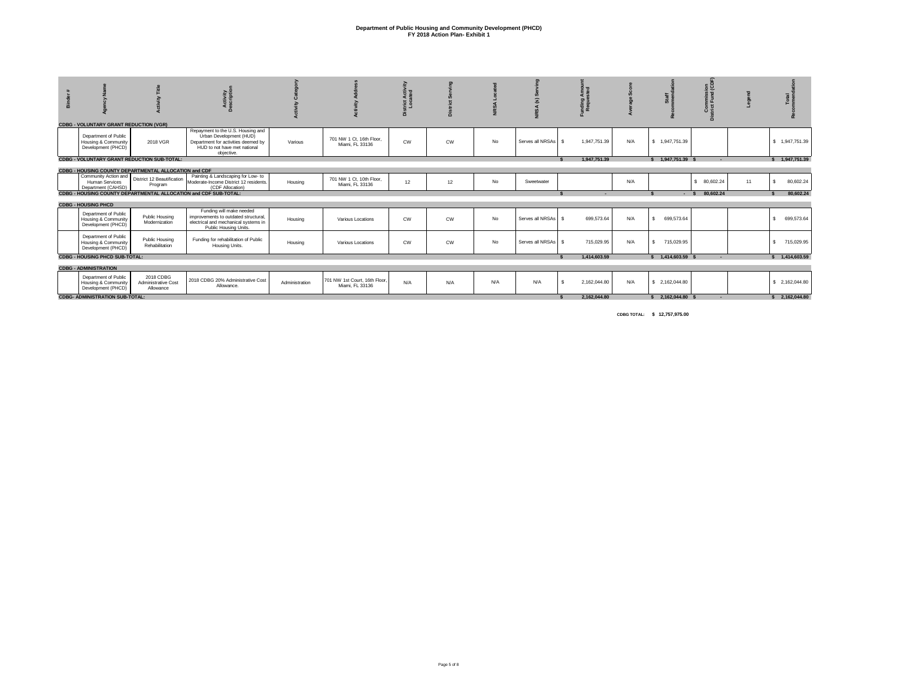|                                                                   |                                                       | Activity<br>escription                                                                                                            |                |                                                  | Activ<br>ated<br>trict<br>Loca |           |     |                       | E <sub>e</sub><br>nding<br>Reque   |     | staf<br>**         | sion<br>d (CI<br>Commis<br>trict Fund |    | <b>Total</b>               |
|-------------------------------------------------------------------|-------------------------------------------------------|-----------------------------------------------------------------------------------------------------------------------------------|----------------|--------------------------------------------------|--------------------------------|-----------|-----|-----------------------|------------------------------------|-----|--------------------|---------------------------------------|----|----------------------------|
| <b>CDBG - VOLUNTARY GRANT REDUCTION (VGR)</b>                     |                                                       | Repayment to the U.S. Housing and                                                                                                 |                |                                                  |                                |           |     |                       |                                    |     |                    |                                       |    |                            |
| Department of Public<br>Housing & Community<br>Development (PHCD) | 2018 VGR                                              | Urban Development (HUD)<br>Department for activities deemed by<br>HUD to not have met national<br>objective.                      | Various        | 701 NW 1 Ct. 16th Floor.<br>Miami, FL 33136      | CW                             | <b>CW</b> | No  | Serves all NRSAs   \$ | 1.947.751.39                       | N/A | \$1.947.751.39     |                                       |    | \$1,947,751.39             |
|                                                                   | <b>CDBG - VOLUNTARY GRANT REDUCTION SUB-TOTAL:</b>    |                                                                                                                                   |                |                                                  |                                |           |     |                       | 1.947.751.39                       |     | \$ 1,947,751,39 \$ | $\sim$                                |    | \$1,947,751.39             |
|                                                                   | CDBG - HOUSING COUNTY DEPARTMENTAL ALLOCATION and CDF |                                                                                                                                   |                |                                                  |                                |           |     |                       |                                    |     |                    |                                       |    |                            |
| Community Action and<br>Human Services<br>Department (CAHSD)      | District 12 Beautification<br>Program                 | Painting & Landscaping for Low- to<br>Moderate-Income District 12 residents.<br>(CDF Allocation)                                  | Housing        | 701 NW 1 Ct, 10th Floor,<br>Miami, FL 33136      | 12                             | 12        | No  | Sweetwater            |                                    | N/A |                    | \$ 80,602,24                          | 11 | 80,602.24                  |
|                                                                   |                                                       | CDBG - HOUSING COUNTY DEPARTMENTAL ALLOCATION and CDF SUB-TOTAL:                                                                  |                |                                                  |                                |           |     |                       | ۰.                                 |     |                    | $-$ \$ 80.602.24                      |    | 80.602.24                  |
| <b>CDBG - HOUSING PHCD</b>                                        |                                                       |                                                                                                                                   |                |                                                  |                                |           |     |                       |                                    |     |                    |                                       |    |                            |
| Department of Public<br>Housing & Community<br>Development (PHCD) | Public Housing<br>Modernization                       | Funding will make needed<br>improvements to outdated structural.<br>electrical and mechanical systems in<br>Public Housing Units. | Housing        | Various Locations                                | <b>CW</b>                      | <b>CW</b> | No  | Serves all NRSAs   \$ | 699,573,64                         | N/A | 699,573.64<br>s.   |                                       |    | 699,573.64<br>s.           |
| Department of Public<br>Housing & Community<br>Development (PHCD) | Public Housing<br>Rehabilitation                      | Funding for rehabilitation of Public<br>Housing Units.                                                                            | Housing        | Various Locations                                | CW                             | <b>CW</b> | No  | Serves all NRSAs \$   | 715,029.95                         | N/A | \$ 715,029.95      |                                       |    | $\mathbf{s}$<br>715,029.95 |
| <b>CDBG - HOUSING PHCD SUB-TOTAL:</b>                             |                                                       |                                                                                                                                   |                |                                                  |                                |           |     |                       | 1.414.603.59                       |     | \$ 1.414,603.59 \$ | $\sim$                                |    | \$ 1,414,603.59            |
| <b>CDBG - ADMINISTRATION</b>                                      |                                                       |                                                                                                                                   |                |                                                  |                                |           |     |                       |                                    |     |                    |                                       |    |                            |
| Department of Public<br>Housing & Community<br>Development (PHCD) | 2018 CDBG<br>Administrative Cost<br>Allowance         | 2018 CDBG 20% Administrative Cost<br>Allowance.                                                                                   | Administration | 701 NW 1st Court, 16th Floor.<br>Miami, FL 33136 | N/A                            | N/A       | N/A | N/A                   | 2,162,044.80<br>$\hat{\mathbf{x}}$ | N/A | \$ 2,162,044.80    |                                       |    | \$2,162,044.80             |
| <b>CDBG- ADMINISTRATION SUB-TOTAL:</b>                            |                                                       |                                                                                                                                   |                |                                                  |                                |           |     |                       | 2.162.044.80                       |     | \$2.162.044.80\$   |                                       |    | \$2.162.044.80             |

 **CDBG TOTAL: \$ 12,757,975.00**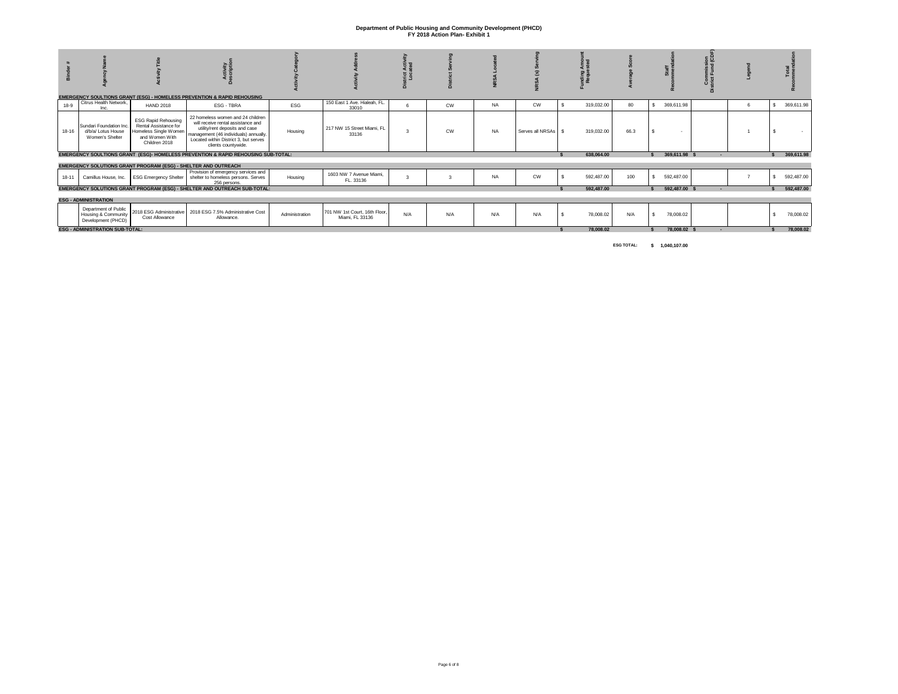|           |                                                                              |                                                                                                                 | <b>EMERGENCY SOULTIONS GRANT (ESG) - HOMELESS PREVENTION &amp; RAPID REHOUSING</b>                                                                                                                                 |                |                                                  |     |           |           |                       | ndin<br>Reau |            |      |    |               |                          |   |            |
|-----------|------------------------------------------------------------------------------|-----------------------------------------------------------------------------------------------------------------|--------------------------------------------------------------------------------------------------------------------------------------------------------------------------------------------------------------------|----------------|--------------------------------------------------|-----|-----------|-----------|-----------------------|--------------|------------|------|----|---------------|--------------------------|---|------------|
| $18-9$    | Citrus Health Network,<br>Inc.                                               | <b>HAND 2018</b>                                                                                                | ESG - TBRA                                                                                                                                                                                                         | ESG            | 150 East 1 Ave. Hialeah, FL.<br>33010            |     | <b>CW</b> | <b>NA</b> | <b>CW</b>             |              | 319,032.00 | 80   | s. | 369,611.98    |                          | 6 | 369,611.98 |
| $18 - 16$ | Sundari Foundation Inc.<br>d/b/a/ Lotus House<br>Women's Shelter             | <b>ESG Rapid Rehousing</b><br>Rental Assistance for<br>Homeless Single Women<br>and Women With<br>Children 2018 | 22 homeless women and 24 children<br>will receive rental assistance and<br>utility/rent deposits and case<br>management (46 individuals) annually.<br>Located within District 3, but serves<br>clients countywide. | Housing        | 217 NW 15 Street Miami, FL<br>33136              |     | CW        | <b>NA</b> | Serves all NRSAs   \$ |              | 319,032.00 | 66.3 |    |               |                          |   |            |
|           |                                                                              |                                                                                                                 | EMERGENCY SOULTIONS GRANT (ESG)- HOMELESS PREVENTION & RAPID REHOUSING SUB-TOTAL:                                                                                                                                  |                |                                                  |     |           |           |                       |              | 638.064.00 |      |    | 369,611.98 \$ | $\overline{\phantom{a}}$ |   | 369,611.98 |
|           |                                                                              |                                                                                                                 | EMERGENCY SOLUTIONS GRANT PROGRAM (ESG) - SHELTER AND OUTREACH                                                                                                                                                     |                |                                                  |     |           |           |                       |              |            |      |    |               |                          |   |            |
| 18-11     |                                                                              | Camillus House, Inc. ESG Emergency Shelter                                                                      | Provision of emergency services and<br>shelter to homeless persons. Serves<br>256 persons.                                                                                                                         | Housing        | 1603 NW 7 Avenue Miami.<br>FL. 33136             |     |           | <b>NA</b> | <b>CW</b>             |              | 592.487.00 | 100  |    | 592,487.00    |                          |   | 592,487.00 |
|           |                                                                              |                                                                                                                 | EMERGENCY SOLUTIONS GRANT PROGRAM (ESG) - SHELTER AND OUTREACH SUB-TOTAL:                                                                                                                                          |                |                                                  |     |           |           |                       |              | 592,487.00 |      |    | 592,487.00 \$ |                          |   | 592,487.00 |
|           | <b>ESG - ADMINISTRATION</b>                                                  |                                                                                                                 |                                                                                                                                                                                                                    |                |                                                  |     |           |           |                       |              |            |      |    |               |                          |   |            |
|           | Department of Public<br><b>Housing &amp; Community</b><br>Development (PHCD) | Cost Allowance                                                                                                  | 2018 ESG Administrative   2018 ESG 7.5% Administrative Cost<br>Allowance.                                                                                                                                          | Administration | 701 NW 1st Court, 16th Floor.<br>Miami, FL 33136 | N/A | N/A       | N/A       | N/A                   |              | 78,008.02  | N/A  |    | 78,008.02     |                          |   | 78,008.02  |
|           | <b>ESG - ADMINISTRATION SUB-TOTAL:</b>                                       |                                                                                                                 |                                                                                                                                                                                                                    |                |                                                  |     |           |           |                       |              | 78.008.02  |      |    | 78.008.02 \$  | $\sim$                   |   | 78,008.02  |

**ESG TOTAL: \$ 1,040,107.00**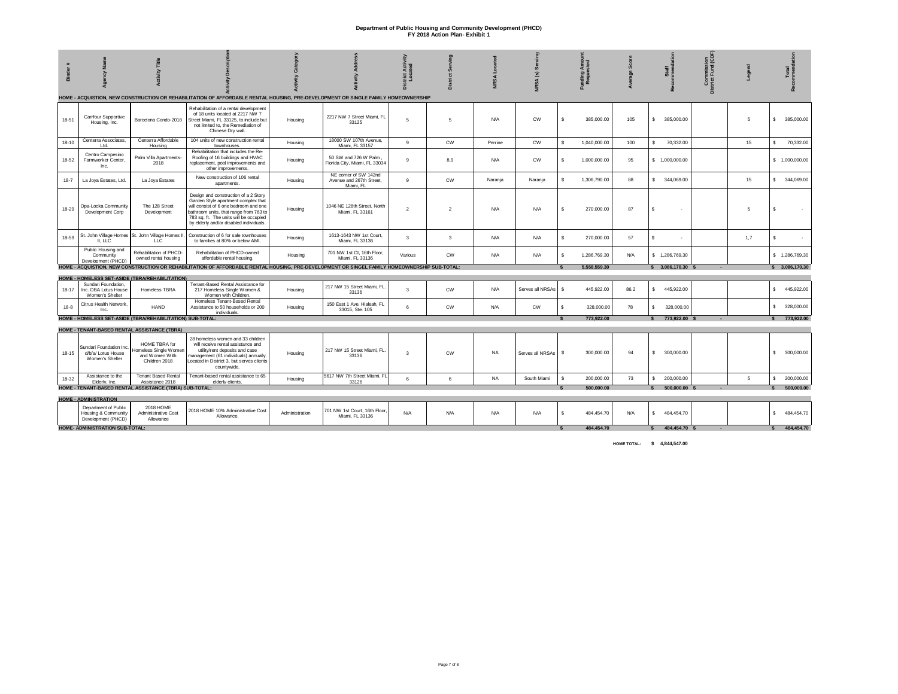| 듦         | hael                                                              |                                                                           |                                                                                                                                                                                                                                                     |                |                                                                | District Activ<br>Located |           | <b>NRSA</b> | NRSA(S)          | Funding Amou<br>Requested    |      | Staff<br>meno     | Commission<br>District Fund (Cl |     | Total            |
|-----------|-------------------------------------------------------------------|---------------------------------------------------------------------------|-----------------------------------------------------------------------------------------------------------------------------------------------------------------------------------------------------------------------------------------------------|----------------|----------------------------------------------------------------|---------------------------|-----------|-------------|------------------|------------------------------|------|-------------------|---------------------------------|-----|------------------|
|           |                                                                   |                                                                           | HOME - ACQUISTION, NEW CONSTRUCTION OR REHABILITATION OF AFFORDABLE RENTAL HOUSING, PRE-DEVELOPMENT OR SINGLE FAMILY HOMEOWNERSHIP                                                                                                                  |                |                                                                |                           |           |             |                  |                              |      |                   |                                 |     |                  |
| 18-51     | Carrfour Supportive<br>Housing, Inc.                              | Barcelona Condo-2018                                                      | Rehabilitation of a rental development<br>of 18 units located at 2217 NW 7<br>Street Miami, FL 33125, to include but<br>not limited to, the Remediation of<br>Chinese Dry wall.                                                                     | Housing        | 2217 NW 7 Street Miami, FL<br>33125                            | 5                         | -5        | N/A         | $\mathsf{cw}$    | s.<br>385,000.00             | 105  | 385,000.00<br>s.  |                                 | -5  | \$ 385,000.00    |
| $18 - 10$ | Centerra Associates,<br>Ltd.                                      | Centerra Affordable<br>Housing                                            | 104 units of new construction rental<br>townhouses.                                                                                                                                                                                                 | Housing        | 18000 SW 107th Avenue,<br>Miami. FL 33157                      | 9                         | <b>CW</b> | Perrine     | $\mathsf{cw}$    | $\mathbf{s}$<br>1,040,000.00 | 100  | 70,332.00<br>s.   |                                 | 15  | 70,332.00<br>s.  |
| 18-52     | Centro Campesino<br>Farmworker Center,<br>Inc.                    | Palm Villa Apartments-<br>2018                                            | Rehabilitation that includes the Re-<br>Roofing of 16 buildings and HVAC<br>replacement, pool improvements and<br>other improvements.                                                                                                               | Housing        | 50 SW and 726 W Palm<br>Florida City, Miami, FL 33034          | 9                         | 8,9       | N/A         | $\mathsf{cw}$    | \$<br>1,000,000.00           | 95   | \$1,000,000.00    |                                 |     | \$1,000,000.00   |
| $18 - 7$  | La Joya Estates, Ltd.                                             | La Joya Estates                                                           | New construction of 106 rental<br>apartments.                                                                                                                                                                                                       | Housing        | NE corner of SW 142nd<br>Avenue and 267th Street,<br>Miami, FL | 9                         | <b>CW</b> | Naranja     | Naranja          | s.<br>1,306,790.00           | 88   | \$ 344,069.00     |                                 | 15  | \$ 344,069.00    |
| 18-29     | Opa-Locka Community<br>Development Corp                           | The 128 Street<br>Development                                             | Design and construction of a 2 Story<br>Garden Style apartment complex that<br>will consist of 6 one bedroom and one<br>bathroom units, that range from 763 to<br>783 sq. ft. The units will be occupied<br>by elderly and/or disabled individuals. | Housing        | 1046 NE 128th Street, North<br>Miami, FL 33161                 | $\overline{2}$            | 2         | N/A         | N/A              | £.<br>270,000.00             | 87   | Š.                |                                 | 5   | Š.               |
| 18-59     | II, LLC                                                           | St. John Village Homes St. John Village Homes II,<br><b>LLC</b>           | Construction of 6 for sale townhouses<br>to families at 80% or below AMI.                                                                                                                                                                           | Housing        | 1613-1643 NW 1st Court,<br>Miami, FL 33136                     | $\mathbf{3}$              | 3         | N/A         | N/A              | s.<br>270,000.00             | 57   | s                 |                                 | 1.7 | s                |
|           | Public Housing and<br>Community<br>Development (PHCD)             | Rehabilitation of PHCD-<br>owned rental housing                           | Rehabilitation of PHCD-owned<br>affordable rental housing.                                                                                                                                                                                          | Housing        | 701 NW 1st Ct, 16th Floor,<br>Miami, FL 33136                  | Various                   | <b>CW</b> | N/A         | N/A              | s.<br>1,286,769.30           | N/A  | \$1,286,769.30    |                                 |     | \$1,286,769.30   |
|           |                                                                   |                                                                           | HOME - ACQUISTION, NEW CONSTRUCTION OR REHABILITATION OF AFFORDABLE RENTAL HOUSING, PRE-DEVELOPMENT OR SINGEL FAMILY HOMEOWNERSHIP SUB-TOTAL:                                                                                                       |                |                                                                |                           |           |             |                  | 5.558.559.30                 |      | \$3,086,170.30    |                                 |     | \$3,086,170.30   |
|           |                                                                   | HOME - HOMELESS SET-ASIDE (TBRA/REHABILITATION)                           |                                                                                                                                                                                                                                                     |                |                                                                |                           |           |             |                  |                              |      |                   |                                 |     |                  |
| $18 - 17$ | Sundari Foundation<br>Inc. DBA Lotus House<br>Women's Shelter     | Homeless TBRA                                                             | Tenant-Based Rental Assistance for<br>217 Homeless Single Women &<br>Women with Children.                                                                                                                                                           | Housing        | 217 NW 15 Street Miami, FL<br>33136                            | $\mathbf{3}$              | <b>CW</b> | N/A         | Serves all NRSAs | £.<br>445,922.00             | 86.2 | s.<br>445,922.00  |                                 |     | \$445,922.00     |
| $18-8$    | Citrus Health Network<br>Inc.                                     | <b>HAND</b>                                                               | Homeless Tenant-Based Rental<br>Assistance to 50 households or 200<br>individuals.                                                                                                                                                                  | Housing        | 150 East 1 Ave. Hialeah, FL<br>33015, Ste. 105                 | 6                         | <b>CW</b> | N/A         | CW               | \$<br>328,000.00             | 78   | \$.<br>328,000.00 |                                 |     | 328,000.00<br>s. |
|           |                                                                   | HOME - HOMELESS SET-ASIDE (TBRA/REHABILITATION) SUB-TOTAL:                |                                                                                                                                                                                                                                                     |                |                                                                |                           |           |             |                  | 773.922.00                   |      | 773.922.00 \$     |                                 |     | 773,922.00       |
|           |                                                                   | HOME - TENANT-BASED RENTAL ASSISTANCE (TBRA)                              |                                                                                                                                                                                                                                                     |                |                                                                |                           |           |             |                  |                              |      |                   |                                 |     |                  |
| 18-15     | Sundari Foundation Inc.<br>d/b/a/ Lotus House<br>Women's Shelter  | HOME TBRA for<br>Homeless Single Womer<br>and Women With<br>Children 2018 | 28 homeless women and 33 children<br>will receive rental assistance and<br>utility/rent deposits and case<br>management (61 individuals) annually<br>Located in District 3, but serves clients<br>countywide.                                       | Housing        | 217 NW 15 Street Miami, FL<br>33136                            | 3                         | <b>CW</b> | <b>NA</b>   | Serves all NRSAs | 300,000.00<br>s.             | 94   | \$ 300,000.00     |                                 |     | \$ 300,000.00    |
| 18-32     | Assistance to the<br>Elderly, Inc.                                | <b>Tenant Based Rental</b><br>Assistance 2018                             | Tenant-based rental assistance to 65<br>elderly clients                                                                                                                                                                                             | Housing        | 5617 NW 7th Street Miami, FL<br>33126                          | 6                         | 6         | <b>NA</b>   | South Miami      | 200,000.00<br>£.             | 73   | 200,000.00<br>s.  |                                 | 5   | s.<br>200,000.00 |
|           |                                                                   | HOME - TENANT-BASED RENTAL ASSISTANCE (TBRA) SUB-TOTAL:                   |                                                                                                                                                                                                                                                     |                |                                                                |                           |           |             |                  | 500.000.00                   |      | 500.000.00        |                                 |     | 500.000.00       |
|           | <b>HOME - ADMINISTRATION</b>                                      |                                                                           |                                                                                                                                                                                                                                                     |                |                                                                |                           |           |             |                  |                              |      |                   |                                 |     |                  |
|           | Department of Public<br>Housing & Community<br>Development (PHCD) | 2018 HOME<br>Administrative Cost<br>Allowance                             | 2018 HOME 10% Administrative Cost<br>Allowance.                                                                                                                                                                                                     | Administration | 701 NW 1st Court, 16th Floor.<br>Miami, FL 33136               | N/A                       | N/A       | N/A         | N/A              | \$<br>484,454.70             | N/A  | 484,454.70<br>s.  |                                 |     | 484,454.70<br>s. |
|           | HOME- ADMINISTRATION SUB-TOTAL:                                   |                                                                           |                                                                                                                                                                                                                                                     |                |                                                                |                           |           |             |                  | 484.454.70                   |      | 484.454.70        |                                 |     | 484.454.70       |

**HOME TOTAL: \$ 4,844,547.00**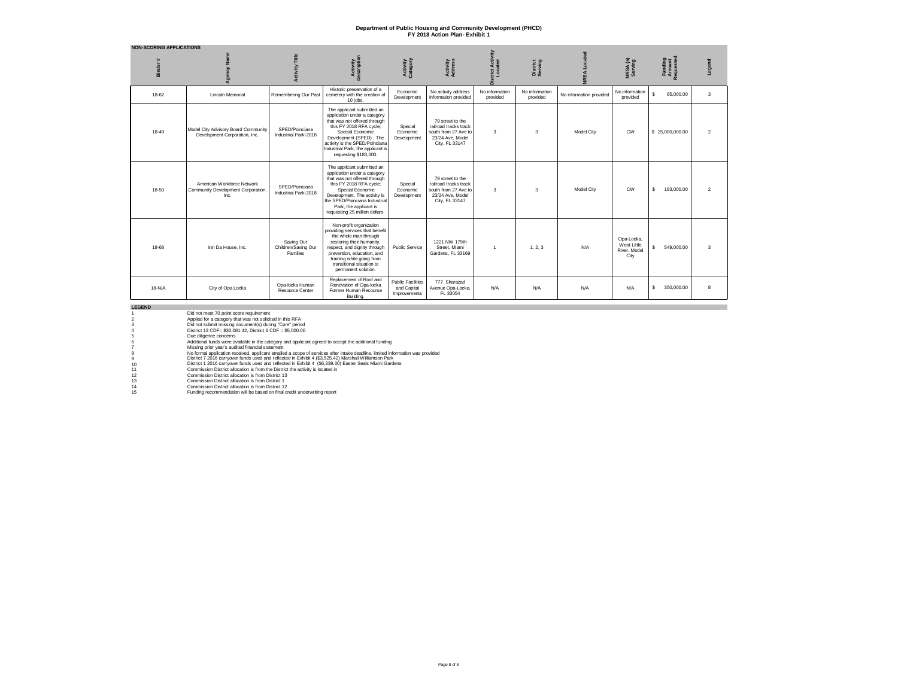| <b>NON-SCORING APPLICATIONS</b> |                                                                          |                                                      |                                                                                                                                                                                                                                                                        |                                                         |                                                                                                         |                            |                            |                         |                                                   |                                |                         |
|---------------------------------|--------------------------------------------------------------------------|------------------------------------------------------|------------------------------------------------------------------------------------------------------------------------------------------------------------------------------------------------------------------------------------------------------------------------|---------------------------------------------------------|---------------------------------------------------------------------------------------------------------|----------------------------|----------------------------|-------------------------|---------------------------------------------------|--------------------------------|-------------------------|
| <b>Binder</b>                   |                                                                          | <b>Activity Title</b>                                | Activity<br>Description                                                                                                                                                                                                                                                | Activity<br>Category                                    | <b>Activity</b><br>Address                                                                              | vity<br>trict Activ        | District<br>Serving        | Located<br><b>NRSA</b>  | NRSA(s)<br>Serving                                | Funding<br>Amount<br>Requested | Legend                  |
| $18 - 62$                       | Lincoln Memorial                                                         | Remembering Our Past                                 | Historic preservation of a<br>cemetery with the creation of<br>10 iobs.                                                                                                                                                                                                | Fconomic<br>Development                                 | No activity address<br>information provided                                                             | No information<br>provided | No information<br>provided | No information provided | No information<br>provided                        | 85,000.00<br>Ś.                | $\overline{\mathbf{3}}$ |
| 18-49                           | Model City Advisory Board Community<br>Development Corporation, Inc.     | SPED/Poinciana<br>Industrial Park-2018               | The applicant submitted an<br>application under a category<br>that was not offered through<br>this FY 2018 RFA cycle;<br>Special Economic<br>Development (SPED), The<br>activity is the SPED/Poinciana<br>Industrial Park, the applicant is<br>requesting \$183,000.   | Special<br>Economic<br>Development                      | 79 street to the<br>railroad tracks track<br>south from 27 Ave to<br>23/24 Ave. Model<br>City, FL 33147 | $\mathbf{3}$               | 3                          | Model City              | <b>CW</b>                                         | \$25,000,000,00                | 2                       |
| $18 - 50$                       | American Workforce Network<br>Community Development Corporation,<br>Inc. | SPFD/Poinciana<br>Industrial Park-2018               | The applicant submitted an<br>application under a category<br>that was not offered through<br>this FY 2018 RFA cycle;<br>Special Economic<br>Development. The activity is<br>the SPED/Poinciana Industrial<br>Park, the applicant is<br>requesting 25 million dollars. | Special<br>Economic<br>Development                      | 79 street to the<br>railroad tracks track<br>south from 27 Ave to<br>23/24 Ave. Model<br>City, FL 33147 | $\mathbf{3}$               | 3                          | Model City              | <b>CW</b>                                         | s.<br>183,000,00               | 2                       |
| $18 - 68$                       | Inn Da House, Inc.                                                       | Saving Our<br>Children/Saving Our<br><b>Families</b> | Non-profit organization<br>providing services that benefit<br>the whole man through<br>restoring their humanity.<br>respect, and dignity through<br>prevention, education, and<br>training while going from<br>transitional situation to<br>permanent solution.        | Public Service                                          | 1221 NW 179th<br>Street. Miami<br>Gardens, FL 33169                                                     | $\overline{1}$             | 1, 2, 3                    | N/A                     | Opa-Locka.<br>West Little<br>River, Model<br>City | 549,000.00<br>\$               | 3                       |
| 18-N/A                          | City of Opa Locka                                                        | Opa-locka Human<br>Resource Center                   | Replacement of Roof and<br>Renovation of Opa-locka<br>Former Human Recourse<br>Building.                                                                                                                                                                               | <b>Public Facilities</b><br>and Capital<br>Improvements | 777 Sharazad<br>Avenue Opa-Locka,<br>FL 33054                                                           | N/A                        | N/A                        | N/A                     | N/A                                               | s.<br>350,000,00               | 8                       |

**LEGEND**

|                 | Did not meet 70 point score requirement                                                                                       |
|-----------------|-------------------------------------------------------------------------------------------------------------------------------|
| $\mathfrak{p}$  | Applied for a category that was not solicited in this RFA                                                                     |
| 3               | Did not submit missing document(s) during "Cure" period                                                                       |
| 4               | District 13 CDF= \$30.081.42. District 6 CDF = \$5.000.00                                                                     |
| 5.              | Due diligence concerns                                                                                                        |
| 6.              | Additional funds were available in the category and applicant agreed to accept the additional funding                         |
|                 | Missing prior year's audited financial statement                                                                              |
| 8               | No formal application received, applicant emailed a scope of services after intake deadline, limited information was provided |
| 9               | District 7 2016 carryover funds used and reflected in Exhibit 4 (\$3,525.42) Marshall Williamson Park                         |
| 10 <sup>1</sup> | District 1 2016 carryover funds used and reflected in Exhibit 4 (\$6,339.30) Easter Seals Miami Gardens                       |
| 11              | Commission District allocation is from the District the activity is located in                                                |
| 12              | Commission District allocation is from District 13                                                                            |
| 13              | Commission District allocation is from District 1                                                                             |
| 1 <sub>A</sub>  | Commission District allocation is from District 12                                                                            |

14 Commission District allocation is from District 12 15 Funding recommendation will be based on final credit underwriting report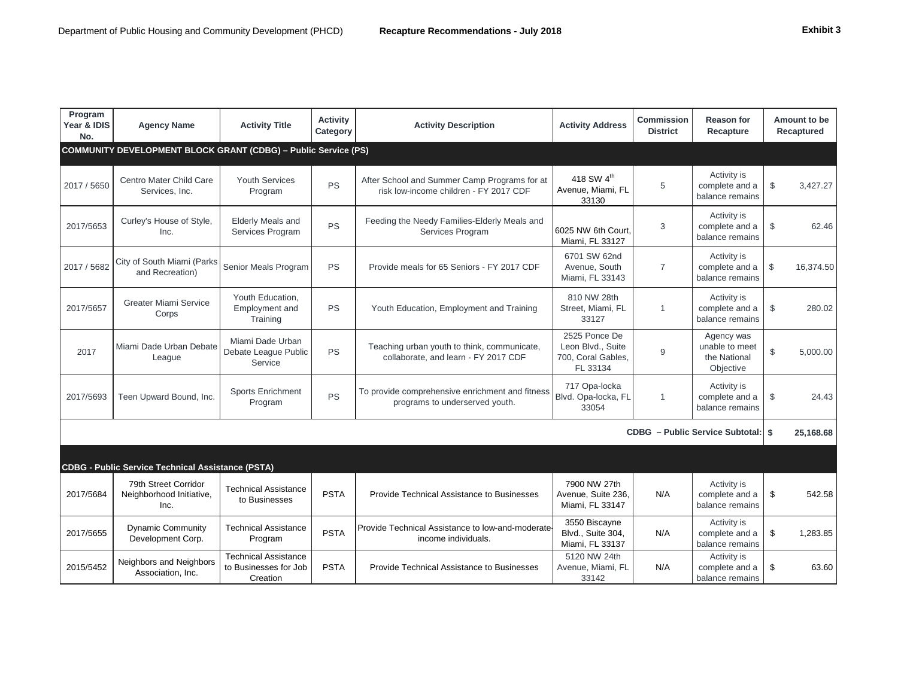| xnıbı |  |  |  |
|-------|--|--|--|
|-------|--|--|--|

| Program<br>Year & IDIS<br>No. | <b>Agency Name</b>                                                    | <b>Activity Title</b>                                     | <b>Activity</b><br>Category | <b>Activity Description</b>                                                            | <b>Activity Address</b>                                              | <b>Commission</b><br><b>District</b> | <b>Reason for</b><br>Recapture                            | Amount to be<br>Recaptured |
|-------------------------------|-----------------------------------------------------------------------|-----------------------------------------------------------|-----------------------------|----------------------------------------------------------------------------------------|----------------------------------------------------------------------|--------------------------------------|-----------------------------------------------------------|----------------------------|
|                               | <b>COMMUNITY DEVELOPMENT BLOCK GRANT (CDBG) - Public Service (PS)</b> |                                                           |                             |                                                                                        |                                                                      |                                      |                                                           |                            |
| 2017 / 5650                   | Centro Mater Child Care<br>Services, Inc.                             | <b>Youth Services</b><br>Program                          | <b>PS</b>                   | After School and Summer Camp Programs for at<br>risk low-income children - FY 2017 CDF | 418 SW 4 <sup>th</sup><br>Avenue, Miami, FL<br>33130                 | 5                                    | Activity is<br>complete and a<br>balance remains          | $\mathfrak{S}$<br>3,427.27 |
| 2017/5653                     | Curley's House of Style,<br>Inc.                                      | <b>Elderly Meals and</b><br>Services Program              | <b>PS</b>                   | Feeding the Needy Families-Elderly Meals and<br>Services Program                       | 6025 NW 6th Court.<br>Miami, FL 33127                                | 3                                    | Activity is<br>complete and a<br>balance remains          | \$<br>62.46                |
| 2017 / 5682                   | City of South Miami (Parks<br>and Recreation)                         | Senior Meals Program                                      | <b>PS</b>                   | Provide meals for 65 Seniors - FY 2017 CDF                                             | 6701 SW 62nd<br>Avenue, South<br>Miami, FL 33143                     | $\overline{7}$                       | Activity is<br>complete and a<br>balance remains          | $\mathbb{S}$<br>16,374.50  |
| 2017/5657                     | <b>Greater Miami Service</b><br>Corps                                 | Youth Education,<br>Employment and<br>Training            | <b>PS</b>                   | Youth Education, Employment and Training                                               | 810 NW 28th<br>Street, Miami, FL<br>33127                            | $\overline{1}$                       | Activity is<br>complete and a<br>balance remains          | $\mathfrak{S}$<br>280.02   |
| 2017                          | Miami Dade Urban Debate<br>League                                     | Miami Dade Urban<br>Debate League Public<br>Service       | <b>PS</b>                   | Teaching urban youth to think, communicate,<br>collaborate, and learn - FY 2017 CDF    | 2525 Ponce De<br>Leon Blvd., Suite<br>700, Coral Gables,<br>FL 33134 | 9                                    | Agency was<br>unable to meet<br>the National<br>Objective | \$<br>5,000.00             |
| 2017/5693                     | Teen Upward Bound, Inc.                                               | <b>Sports Enrichment</b><br>Program                       | <b>PS</b>                   | To provide comprehensive enrichment and fitness<br>programs to underserved youth.      | 717 Opa-locka<br>Blvd. Opa-locka, FL<br>33054                        | $\overline{1}$                       | Activity is<br>complete and a<br>balance remains          | \$<br>24.43                |
|                               |                                                                       |                                                           |                             |                                                                                        |                                                                      |                                      | CDBG - Public Service Subtotal:   \$                      | 25,168.68                  |
|                               | <b>CDBG - Public Service Technical Assistance (PSTA)</b>              |                                                           |                             |                                                                                        |                                                                      |                                      |                                                           |                            |
| 2017/5684                     | 79th Street Corridor<br>Neighborhood Initiative,<br>Inc.              | <b>Technical Assistance</b><br>to Businesses              | <b>PSTA</b>                 | Provide Technical Assistance to Businesses                                             | 7900 NW 27th<br>Avenue, Suite 236,<br>Miami, FL 33147                | N/A                                  | Activity is<br>complete and a<br>balance remains          | \$<br>542.58               |
| 2017/5655                     | <b>Dynamic Community</b><br>Development Corp.                         | <b>Technical Assistance</b><br>Program                    | <b>PSTA</b>                 | Provide Technical Assistance to low-and-moderate<br>income individuals.                | 3550 Biscayne<br>Blvd., Suite 304,<br>Miami, FL 33137                | N/A                                  | Activity is<br>complete and a<br>balance remains          | \$<br>1,283.85             |
| 2015/5452                     | Neighbors and Neighbors<br>Association, Inc.                          | Technical Assistance<br>to Businesses for Job<br>Creation | <b>PSTA</b>                 | Provide Technical Assistance to Businesses                                             | 5120 NW 24th<br>Avenue, Miami, FL<br>33142                           | N/A                                  | Activity is<br>complete and a<br>balance remains          | \$<br>63.60                |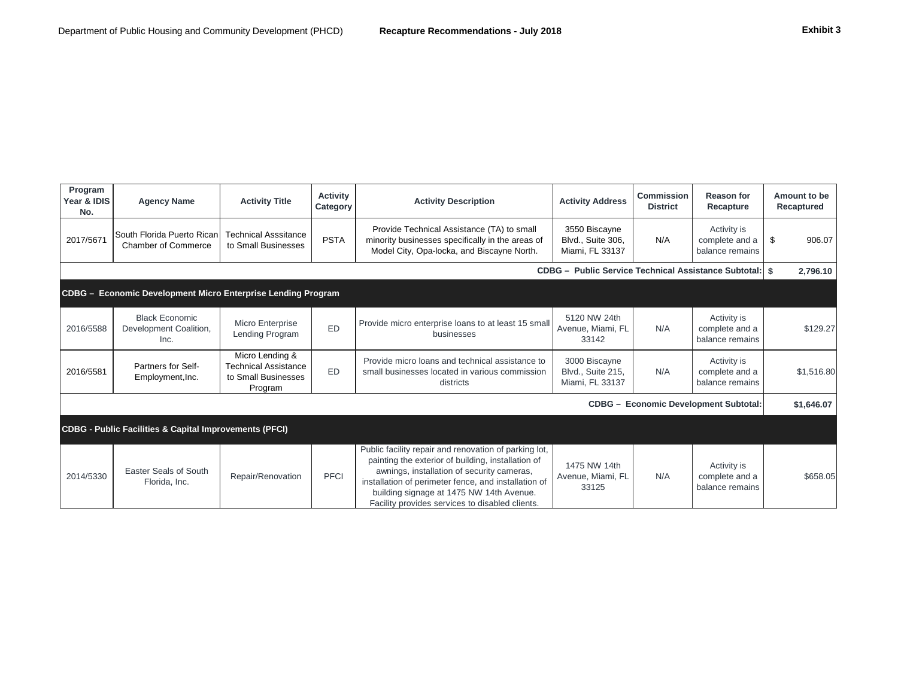| Program<br>Year & IDIS<br>No. | <b>Agency Name</b>                                                | <b>Activity Title</b>                                                            | <b>Activity</b><br>Category | <b>Activity Description</b>                                                                                                                                                                                                                                                                                      | <b>Activity Address</b>                                   | Commission<br><b>District</b> | Reason for<br>Recapture                          | Amount to be<br>Recaptured |
|-------------------------------|-------------------------------------------------------------------|----------------------------------------------------------------------------------|-----------------------------|------------------------------------------------------------------------------------------------------------------------------------------------------------------------------------------------------------------------------------------------------------------------------------------------------------------|-----------------------------------------------------------|-------------------------------|--------------------------------------------------|----------------------------|
| 2017/5671                     | South Florida Puerto Rican<br><b>Chamber of Commerce</b>          | <b>Technical Asssitance</b><br>to Small Businesses                               | <b>PSTA</b>                 | Provide Technical Assistance (TA) to small<br>minority businesses specifically in the areas of<br>Model City, Opa-locka, and Biscayne North.                                                                                                                                                                     | 3550 Biscayne<br>Blvd., Suite 306,<br>Miami, FL 33137     | N/A                           | Activity is<br>complete and a<br>balance remains | 906.07<br>\$               |
|                               |                                                                   |                                                                                  |                             |                                                                                                                                                                                                                                                                                                                  | CDBG - Public Service Technical Assistance Subtotal:   \$ |                               |                                                  | 2,796.10                   |
|                               | CDBG - Economic Development Micro Enterprise Lending Program      |                                                                                  |                             |                                                                                                                                                                                                                                                                                                                  |                                                           |                               |                                                  |                            |
| 2016/5588                     | <b>Black Economic</b><br>Development Coalition,<br>Inc.           | Micro Enterprise<br>Lending Program                                              | <b>ED</b>                   | Provide micro enterprise loans to at least 15 small<br>businesses                                                                                                                                                                                                                                                | 5120 NW 24th<br>Avenue, Miami, FL<br>33142                | N/A                           | Activity is<br>complete and a<br>balance remains | \$129.27                   |
| 2016/5581                     | Partners for Self-<br>Employment, Inc.                            | Micro Lending &<br><b>Technical Assistance</b><br>to Small Businesses<br>Program | ED                          | Provide micro loans and technical assistance to<br>small businesses located in various commission<br>districts                                                                                                                                                                                                   | 3000 Biscayne<br>Blvd., Suite 215,<br>Miami, FL 33137     | N/A                           | Activity is<br>complete and a<br>balance remains | \$1,516.80                 |
|                               |                                                                   |                                                                                  |                             |                                                                                                                                                                                                                                                                                                                  |                                                           |                               | <b>CDBG - Economic Development Subtotal:</b>     | \$1,646.07                 |
|                               | <b>CDBG - Public Facilities &amp; Capital Improvements (PFCI)</b> |                                                                                  |                             |                                                                                                                                                                                                                                                                                                                  |                                                           |                               |                                                  |                            |
| 2014/5330                     | Easter Seals of South<br>Florida, Inc.                            | Repair/Renovation                                                                | <b>PFCI</b>                 | Public facility repair and renovation of parking lot,<br>painting the exterior of building, installation of<br>awnings, installation of security cameras,<br>installation of perimeter fence, and installation of<br>building signage at 1475 NW 14th Avenue.<br>Facility provides services to disabled clients. | 1475 NW 14th<br>Avenue, Miami, FL<br>33125                | N/A                           | Activity is<br>complete and a<br>balance remains | \$658.05                   |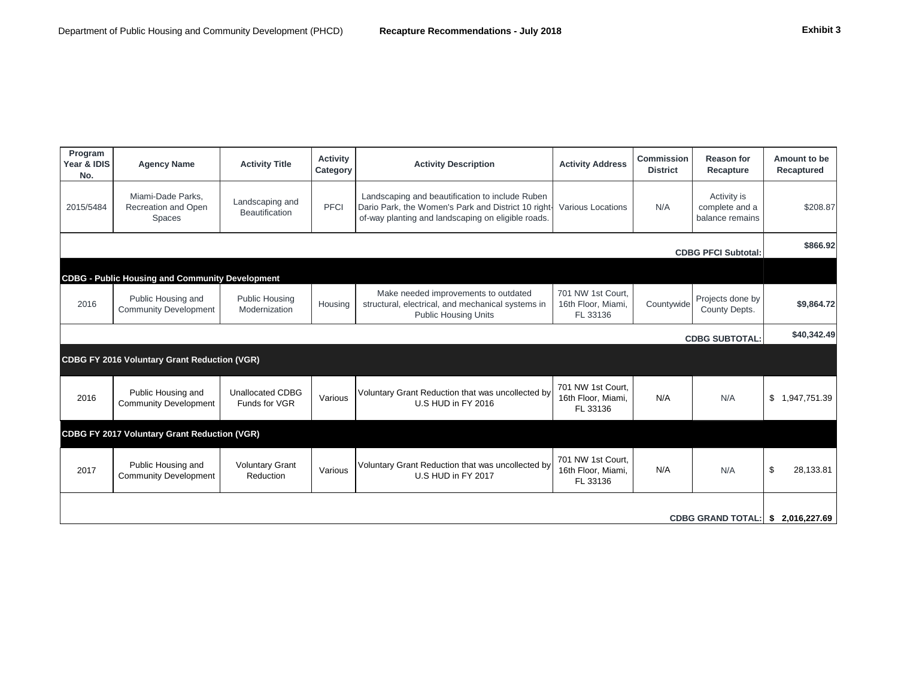| Program<br>Year & IDIS<br>No.                   | <b>Agency Name</b>                                 | <b>Activity Title</b>                    | <b>Activity</b><br>Category | <b>Activity Description</b>                                                                                                                                                                             | <b>Activity Address</b>                             | <b>Commission</b><br><b>District</b> | <b>Reason for</b><br>Recapture    | Amount to be<br>Recaptured |
|-------------------------------------------------|----------------------------------------------------|------------------------------------------|-----------------------------|---------------------------------------------------------------------------------------------------------------------------------------------------------------------------------------------------------|-----------------------------------------------------|--------------------------------------|-----------------------------------|----------------------------|
| 2015/5484                                       | Miami-Dade Parks,<br>Recreation and Open<br>Spaces | Landscaping and<br><b>Beautification</b> | <b>PFCI</b>                 | Activity is<br>Landscaping and beautification to include Ruben<br>N/A<br>Dario Park, the Women's Park and District 10 right-<br>Various Locations<br>of-way planting and landscaping on eligible roads. |                                                     | complete and a<br>balance remains    | \$208.87                          |                            |
| <b>CDBG PFCI Subtotal:</b>                      |                                                    |                                          |                             |                                                                                                                                                                                                         |                                                     |                                      |                                   |                            |
| CDBG - Public Housing and Community Development |                                                    |                                          |                             |                                                                                                                                                                                                         |                                                     |                                      |                                   |                            |
| 2016                                            | Public Housing and<br><b>Community Development</b> | Public Housing<br>Modernization          | Housing                     | Make needed improvements to outdated<br>structural, electrical, and mechanical systems in<br><b>Public Housing Units</b>                                                                                | 701 NW 1st Court,<br>16th Floor, Miami.<br>FL 33136 | Countywide                           | Projects done by<br>County Depts. | \$9,864.72                 |

**\$40,342.49**  <u>Constantinopedia</u>

|                          |                                                     |                                     |         |                                                                         |                                                     |     | <b>CDBG SUBTOTAL:</b> | .                  |
|--------------------------|-----------------------------------------------------|-------------------------------------|---------|-------------------------------------------------------------------------|-----------------------------------------------------|-----|-----------------------|--------------------|
|                          | CDBG FY 2016 Voluntary Grant Reduction (VGR)        |                                     |         |                                                                         |                                                     |     |                       |                    |
| 2016                     | Public Housing and<br><b>Community Development</b>  | Unallocated CDBG<br>Funds for VGR   | Various | Voluntary Grant Reduction that was uncollected by<br>U.S HUD in FY 2016 | 701 NW 1st Court,<br>16th Floor, Miami,<br>FL 33136 | N/A | N/A                   | \$<br>1,947,751.39 |
|                          | <b>CDBG FY 2017 Voluntary Grant Reduction (VGR)</b> |                                     |         |                                                                         |                                                     |     |                       |                    |
| 2017                     | Public Housing and<br><b>Community Development</b>  | <b>Voluntary Grant</b><br>Reduction | Various | Voluntary Grant Reduction that was uncollected by<br>U.S HUD in FY 2017 | 701 NW 1st Court,<br>16th Floor, Miami,<br>FL 33136 | N/A | N/A                   | \$<br>28,133.81    |
|                          |                                                     |                                     |         |                                                                         |                                                     |     |                       |                    |
| <b>CDBG GRAND TOTAL:</b> |                                                     |                                     |         |                                                                         |                                                     |     | 2,016,227.69          |                    |